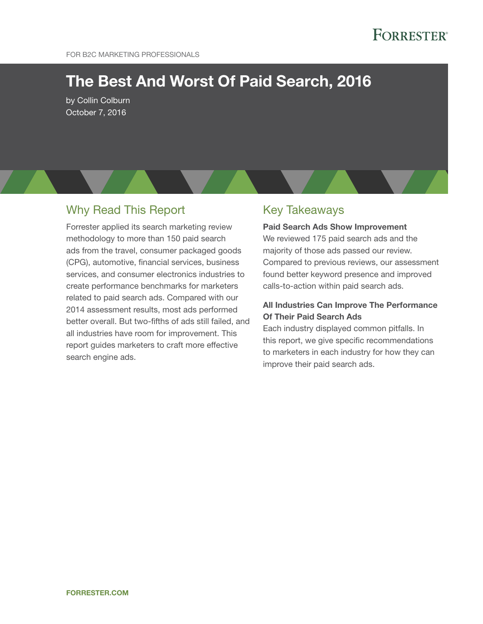# The Best And Worst Of Paid Search, 2016

by Collin Colburn October 7, 2016

# Why Read This Report

Forrester applied its search marketing review methodology to more than 150 paid search ads from the travel, consumer packaged goods (CPg), automotive, financial services, business services, and consumer electronics industries to create performance benchmarks for marketers related to paid search ads. Compared with our 2014 assessment results, most ads performed better overall. But two-fifths of ads still failed, and all industries have room for improvement. This report guides marketers to craft more effective search engine ads.

# key Takeaways

Paid Search Ads Show Improvement We reviewed 175 paid search ads and the majority of those ads passed our review. Compared to previous reviews, our assessment found better keyword presence and improved calls-to-action within paid search ads.

## All Industries Can Improve The Performance Of Their Paid Search Ads

Each industry displayed common pitfalls. In this report, we give specific recommendations to marketers in each industry for how they can improve their paid search ads.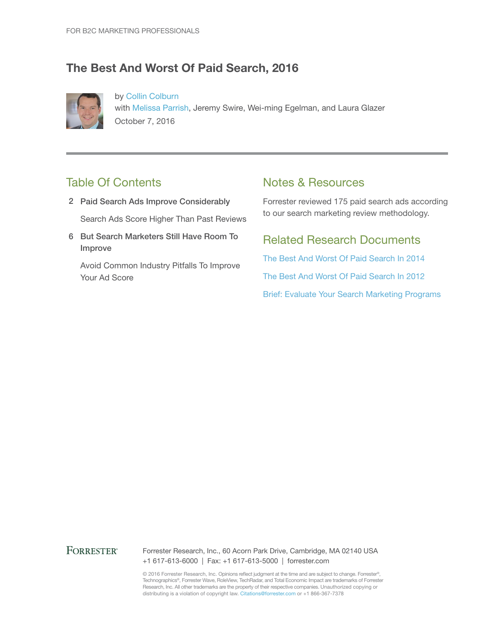# The Best And Worst Of Paid Search, 2016



by [Collin Colburn](http://www.forrester.com/go?objectid=BIO6164) with [Melissa Parrish](http://www.forrester.com/go?objectid=BIO2605), Jeremy Swire, Wei-ming Egelman, and Laura Glazer October 7, 2016

# Table Of Contents

- 2 Paid Search Ads Improve Considerably Search Ads Score Higher Than Past Reviews
- 6 But Search Marketers Still Have Room To Improve

Avoid Common Industry Pitfalls To Improve Your Ad Score

# Notes & Resources

Forrester reviewed 175 paid search ads according to our search marketing review methodology.

# Related Research Documents

[The Best And Worst Of Paid Search In 2014](http://www.forrester.com/go?objectid=RES116963) [The Best And Worst Of Paid Search In 2012](http://www.forrester.com/go?objectid=RES47719) [Brief: Evaluate Your Search Marketing Programs](http://www.forrester.com/go?objectid=RES119701)

## **FORRESTER®**

Forrester Research, Inc., 60 Acorn Park Drive, Cambridge, MA 02140 USA +1 617-613-6000 | Fax: +1 617-613-5000 | forrester.com

© 2016 Forrester Research, Inc. Opinions reflect judgment at the time and are subject to change. Forrester®, Technographics®, Forrester Wave, RoleView, TechRadar, and Total Economic Impact are trademarks of Forrester Research, Inc. All other trademarks are the property of their respective companies. Unauthorized copying or distributing is a violation of copyright law. Citations@forrester.com or +1 866-367-7378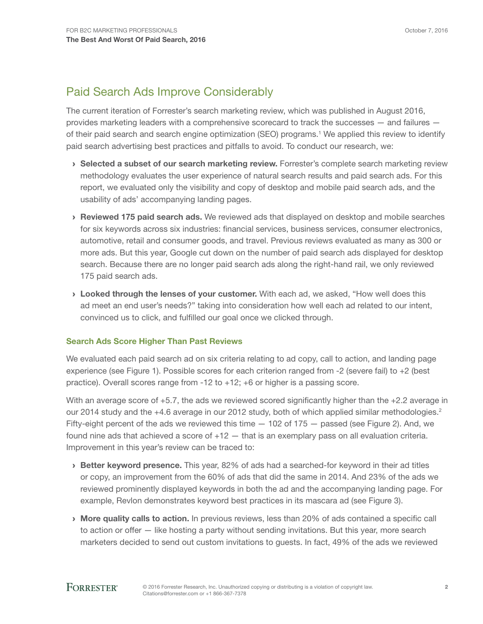# Paid Search Ads Improve Considerably

The current iteration of Forrester's search marketing review, which was published in August 2016, provides marketing leaders with a comprehensive scorecard to track the successes — and failures of their paid search and search engine optimization (SEO) programs.<sup>1</sup> We applied this review to identify paid search advertising best practices and pitfalls to avoid. To conduct our research, we:

- › Selected a subset of our search marketing review. Forrester's complete search marketing review methodology evaluates the user experience of natural search results and paid search ads. For this report, we evaluated only the visibility and copy of desktop and mobile paid search ads, and the usability of ads' accompanying landing pages.
- **Peviewed 175 paid search ads.** We reviewed ads that displayed on desktop and mobile searches for six keywords across six industries: financial services, business services, consumer electronics, automotive, retail and consumer goods, and travel. Previous reviews evaluated as many as 300 or more ads. But this year, Google cut down on the number of paid search ads displayed for desktop search. Because there are no longer paid search ads along the right-hand rail, we only reviewed 175 paid search ads.
- › Looked through the lenses of your customer. With each ad, we asked, "How well does this ad meet an end user's needs?" taking into consideration how well each ad related to our intent, convinced us to click, and fulfilled our goal once we clicked through.

## Search Ads Score Higher Than Past Reviews

We evaluated each paid search ad on six criteria relating to ad copy, call to action, and landing page experience (see Figure 1). Possible scores for each criterion ranged from -2 (severe fail) to +2 (best practice). Overall scores range from -12 to +12; +6 or higher is a passing score.

With an average score of +5.7, the ads we reviewed scored significantly higher than the +2.2 average in our 2014 study and the +4.6 average in our 2012 study, both of which applied similar methodologies.<sup>2</sup> Fifty-eight percent of the ads we reviewed this time  $-102$  of 175  $-$  passed (see Figure 2). And, we found nine ads that achieved a score of  $+12 -$  that is an exemplary pass on all evaluation criteria. Improvement in this year's review can be traced to:

- **Better keyword presence.** This year, 82% of ads had a searched-for keyword in their ad titles or copy, an improvement from the 60% of ads that did the same in 2014. And 23% of the ads we reviewed prominently displayed keywords in both the ad and the accompanying landing page. For example, Revlon demonstrates keyword best practices in its mascara ad (see Figure 3).
- › More quality calls to action. In previous reviews, less than 20% of ads contained a specific call to action or offer — like hosting a party without sending invitations. But this year, more search marketers decided to send out custom invitations to guests. In fact, 49% of the ads we reviewed

# **FORRESTER®**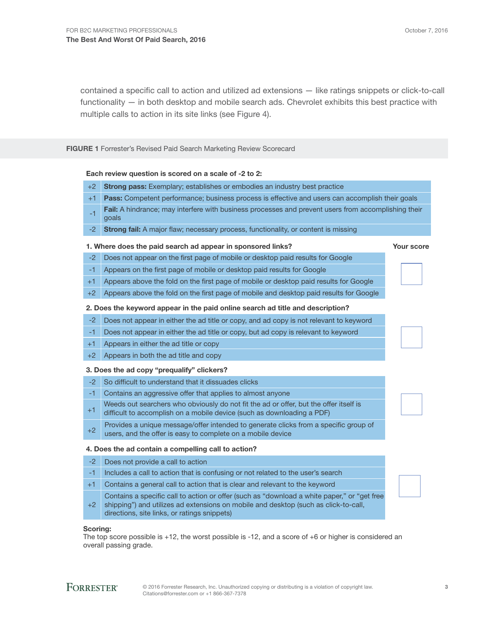contained a specific call to action and utilized ad extensions — like ratings snippets or click-to-call functionality — in both desktop and mobile search ads. Chevrolet exhibits this best practice with multiple calls to action in its site links (see Figure 4).

FIGURE 1 Forrester's Revised Paid Search Marketing Review Scorecard

#### Each review question is scored on a scale of -2 to 2:

- Strong pass: Exemplary; establishes or embodies an industry best practice  $+2$
- $+1$ Pass: Competent performance; business process is effective and users can accomplish their goals
- -1 Fail: A hindrance; may interfere with business processes and prevent users from accomplishing their goals
- -2 Strong fail: A major flaw; necessary process, functionality, or content is missing

#### 1. Where does the paid search ad appear in sponsored links? The manner of the Your score

- Does not appear on the first page of mobile or desktop paid results for Google -2 Appears on the first page of mobile or desktop paid results for Google -1
- 
- Appears above the fold on the first page of mobile or desktop paid results for Google  $+1$
- +2 Appears above the fold on the first page of mobile and desktop paid results for Google

#### 2. Does the keyword appear in the paid online search ad title and description?

- Does not appear in either the ad title or copy, and ad copy is not relevant to keyword -2
- -1 Does not appear in either the ad title or copy, but ad copy is relevant to keyword
- +1 Appears in either the ad title or copy
- +2 Appears in both the ad title and copy

#### 3. Does the ad copy "prequalify" clickers?

- So difficult to understand that it dissuades clicks -2
- Contains an aggressive offer that applies to almost anyone -1
- Weeds out searchers who obviously do not fit the ad or offer, but the offer itself is difficult to accomplish on a mobile device (such as downloading a PDF)  $+1$
- Provides a unique message/offer intended to generate clicks from a specific group of users, and the offer is easy to complete on a mobile device +2

#### 4. Does the ad contain a compelling call to action?

- -2 Does not provide a call to action
- Includes a call to action that is confusing or not related to the user's search -1
- Contains a general call to action that is clear and relevant to the keyword  $+1$
- Contains a specific call to action or offer (such as "download a white paper," or "get free shipping") and utilizes ad extensions on mobile and desktop (such as click-to-call, directions, site links, or ratings snippets)  $+2$

#### Scoring:

The top score possible is +12, the worst possible is -12, and a score of +6 or higher is considered an overall passing grade.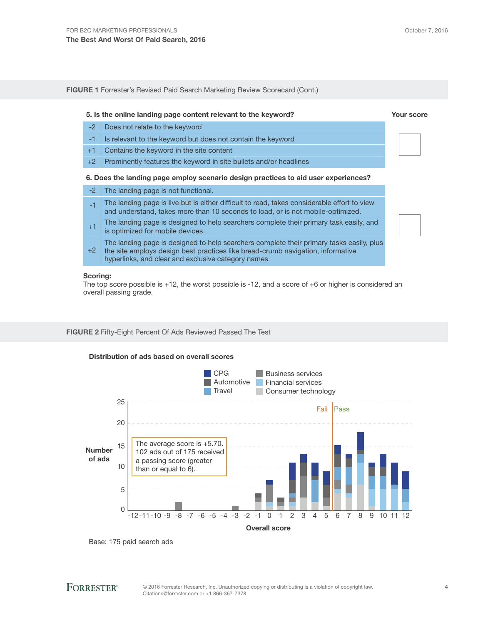| <b>FIGURE 1</b> Forrester's Revised Paid Search Marketing Review Scorecard (Cont.) |                                                                                                                                                                                                                                    |            |  |  |  |
|------------------------------------------------------------------------------------|------------------------------------------------------------------------------------------------------------------------------------------------------------------------------------------------------------------------------------|------------|--|--|--|
|                                                                                    | 5. Is the online landing page content relevant to the keyword?                                                                                                                                                                     | Your score |  |  |  |
| $-2$                                                                               | Does not relate to the keyword                                                                                                                                                                                                     |            |  |  |  |
| $-1$                                                                               | Is relevant to the keyword but does not contain the keyword                                                                                                                                                                        |            |  |  |  |
| $+1$                                                                               | Contains the keyword in the site content                                                                                                                                                                                           |            |  |  |  |
| $+2$                                                                               | Prominently features the keyword in site bullets and/or headlines                                                                                                                                                                  |            |  |  |  |
| 6. Does the landing page employ scenario design practices to aid user experiences? |                                                                                                                                                                                                                                    |            |  |  |  |
| $-2$                                                                               | The landing page is not functional.                                                                                                                                                                                                |            |  |  |  |
| $-1$                                                                               | The landing page is live but is either difficult to read, takes considerable effort to view<br>and understand, takes more than 10 seconds to load, or is not mobile-optimized.                                                     |            |  |  |  |
| $+1$                                                                               | The landing page is designed to help searchers complete their primary task easily, and<br>is optimized for mobile devices.                                                                                                         |            |  |  |  |
| $+2$                                                                               | The landing page is designed to help searchers complete their primary tasks easily, plus<br>the site employs design best practices like bread-crumb navigation, informative<br>hyperlinks, and clear and exclusive category names. |            |  |  |  |

#### Scoring:

The top score possible is +12, the worst possible is -12, and a score of +6 or higher is considered an overall passing grade.

#### FIGURE 2 Fifty-Eight Percent Of Ads Reviewed Passed The Test



#### Distribution of ads based on overall scores

Base: 175 paid search ads

# **FORRESTER®**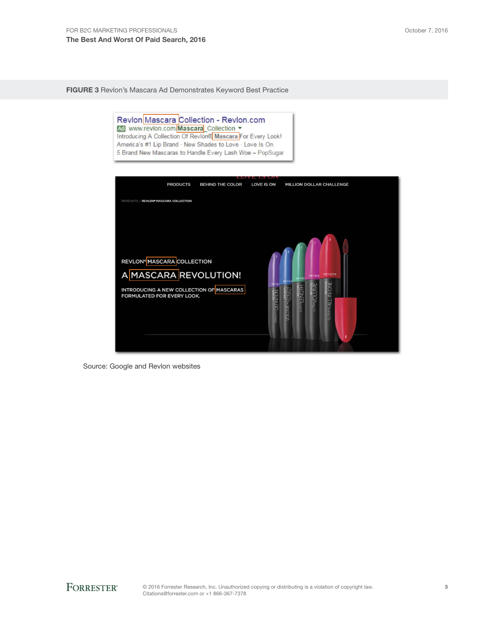FIGURE 3 Revlon's Mascara Ad Demonstrates Keyword Best Practice

Revion Mascara Collection - Revion.com<br>Mascara Collection v<br>Introducing A Collection Of Revion® Mascara For Every Look! America's #1 Lip Brand · New Shades to Love · Love Is On 5 Brand New Mascaras to Handle Every Lash Woe - PopSugar **PRODUCTS BEHIND THE COLOR** LOVE IS ON MILLION DOLLAR CHALLENGE **TS / REVLON® MASCARA COLLECTION** REVLON<sup>®</sup> MASCARA COLLECTION A MASCARA REVOLUTION! INTRODUCING A NEW COLLECTION OF MASCARAS<br>FORMULATED FOR EVERY LOOK.

Source: Google and Revlon websites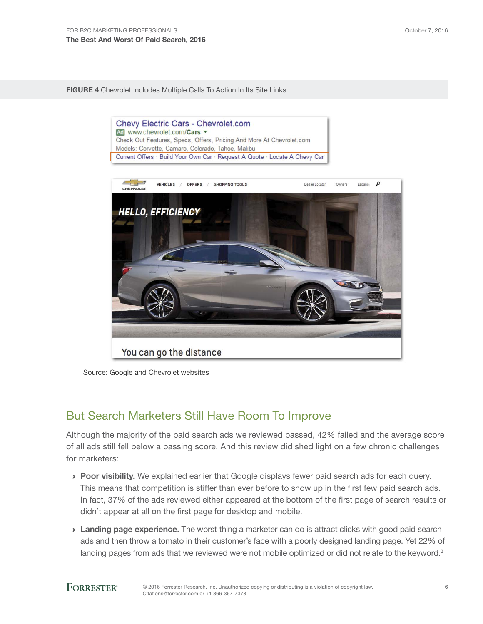FIGURE 4 Chevrolet Includes Multiple Calls To Action In Its Site Links





# But Search Marketers Still Have Room To Improve

Although the majority of the paid search ads we reviewed passed, 42% failed and the average score of all ads still fell below a passing score. And this review did shed light on a few chronic challenges for marketers:

- > Poor visibility. We explained earlier that Google displays fewer paid search ads for each query. This means that competition is stiffer than ever before to show up in the first few paid search ads. In fact, 37% of the ads reviewed either appeared at the bottom of the first page of search results or didn't appear at all on the first page for desktop and mobile.
- **Landing page experience.** The worst thing a marketer can do is attract clicks with good paid search ads and then throw a tomato in their customer's face with a poorly designed landing page. Yet 22% of landing pages from ads that we reviewed were not mobile optimized or did not relate to the keyword.<sup>3</sup>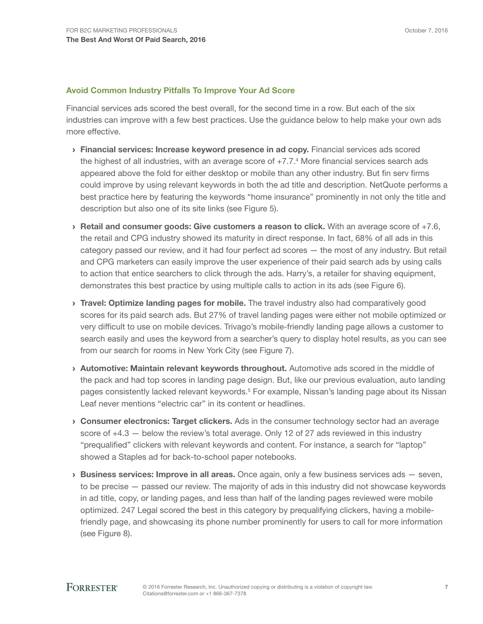#### Avoid Common Industry Pitfalls To Improve Your Ad Score

Financial services ads scored the best overall, for the second time in a row. But each of the six industries can improve with a few best practices. Use the guidance below to help make your own ads more effective.

- › Financial services: Increase keyword presence in ad copy. Financial services ads scored the highest of all industries, with an average score of +7.7.<sup>4</sup> More financial services search ads appeared above the fold for either desktop or mobile than any other industry. But fin serv firms could improve by using relevant keywords in both the ad title and description. NetQuote performs a best practice here by featuring the keywords "home insurance" prominently in not only the title and description but also one of its site links (see Figure 5).
- $\rightarrow$  Retail and consumer goods: Give customers a reason to click. With an average score of +7.6, the retail and CPG industry showed its maturity in direct response. In fact, 68% of all ads in this category passed our review, and it had four perfect ad scores — the most of any industry. But retail and CPG marketers can easily improve the user experience of their paid search ads by using calls to action that entice searchers to click through the ads. Harry's, a retailer for shaving equipment, demonstrates this best practice by using multiple calls to action in its ads (see Figure 6).
- **I** Travel: Optimize landing pages for mobile. The travel industry also had comparatively good scores for its paid search ads. But 27% of travel landing pages were either not mobile optimized or very difficult to use on mobile devices. Trivago's mobile-friendly landing page allows a customer to search easily and uses the keyword from a searcher's query to display hotel results, as you can see from our search for rooms in New York City (see Figure 7).
- › Automotive: Maintain relevant keywords throughout. Automotive ads scored in the middle of the pack and had top scores in landing page design. But, like our previous evaluation, auto landing pages consistently lacked relevant keywords.<sup>5</sup> For example, Nissan's landing page about its Nissan Leaf never mentions "electric car" in its content or headlines.
- **Consumer electronics: Target clickers.** Ads in the consumer technology sector had an average score of +4.3 - below the review's total average. Only 12 of 27 ads reviewed in this industry "prequalified" clickers with relevant keywords and content. For instance, a search for "laptop" showed a Staples ad for back-to-school paper notebooks.
- $\rightarrow$  Business services: Improve in all areas. Once again, only a few business services ads  $-$  seven, to be precise — passed our review. The majority of ads in this industry did not showcase keywords in ad title, copy, or landing pages, and less than half of the landing pages reviewed were mobile optimized. 247 Legal scored the best in this category by prequalifying clickers, having a mobilefriendly page, and showcasing its phone number prominently for users to call for more information (see Figure 8).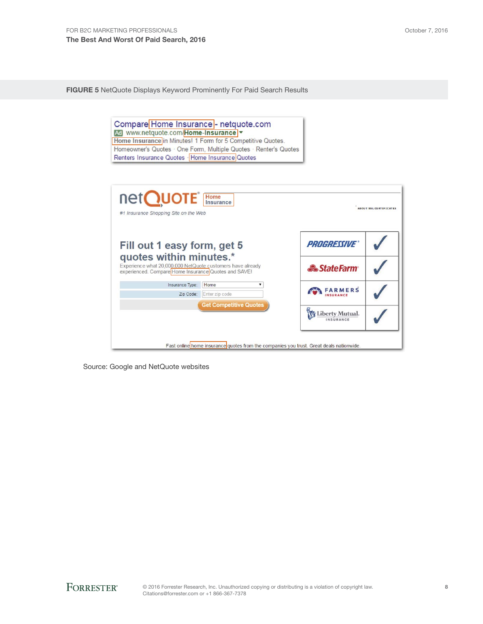FIGURE 5 NetQuote Displays Keyword Prominently For Paid Search Results



Source: Google and NetQuote websites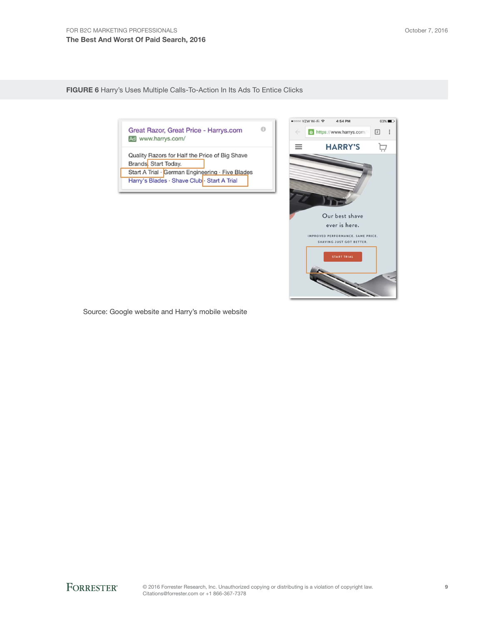FIGURE 6 Harry's Uses Multiple Calls-To-Action In Its Ads To Entice Clicks

Great Razor, Great Price - Harrys.com Ad www.harrys.com/

 $\Theta$ 

Quality Razors for Half the Price of Big Shave Brands Start Today.

Start A Trial · German Engineering · Five Blades Harry's Blades · Shave Club · Start A Trial



Source: Google website and Harry's mobile website

**FORRESTER®** 

© 2016 Forrester Research, Inc. Unauthorized copying or distributing is a violation of copyright law. Citations@forrester.com or +1 866-367-7378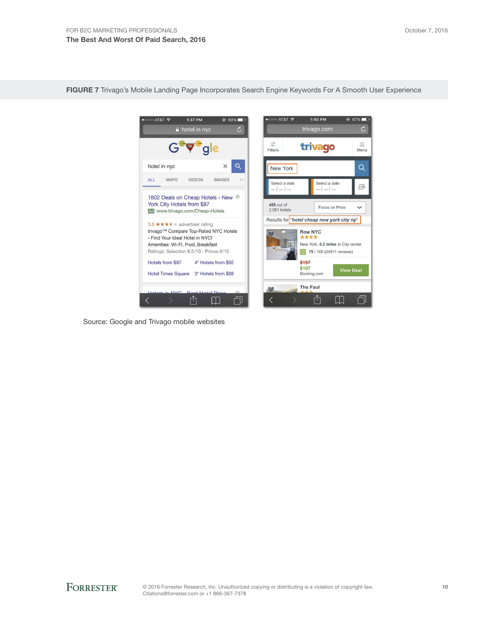

FIGURE 7 Trivago's Mobile Landing Page Incorporates Search Engine Keywords For A Smooth User Experience

Source: Google and Trivago mobile websites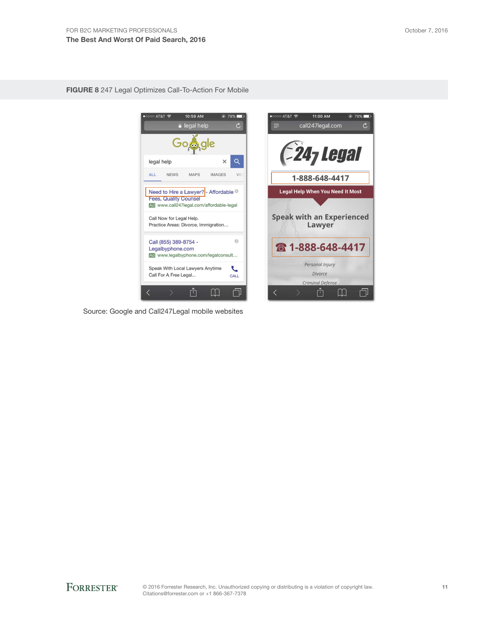FIGURE 8 247 Legal Optimizes Call-To-Action For Mobile



Source: Google and Call247Legal mobile websites



11:00 AM

 $\odot$  79%

AT&T <mark>೯</mark>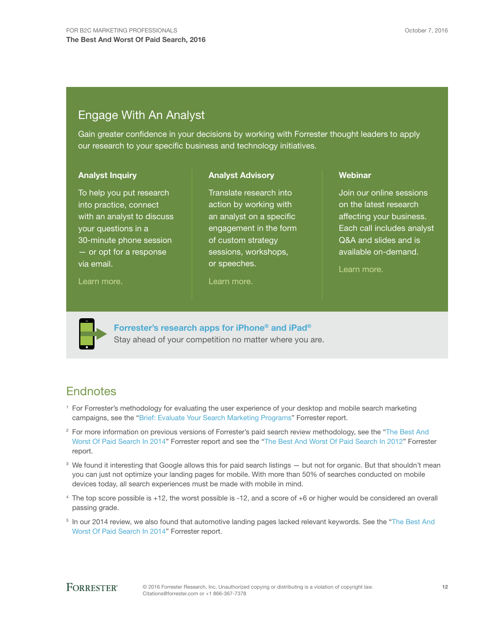# Engage With An Analyst

Gain greater confidence in your decisions by working with Forrester thought leaders to apply our research to your specific business and technology initiatives.

> Translate research into action by working with an analyst on a specific

sessions, workshops,

Analyst Advisory

#### Analyst Inquiry

To help you put research into practice, connect with an analyst to discuss your questions in a 30-minute phone session — or opt for a response via email.

#### [Learn more.](http://forr.com/1einFan)

engagement in the form of custom strategy

or speeches.

[Learn more.](http://www.forrester.com/Analyst-Advisory/-/E-MPL172)

# **Webinar**

Join our online sessions on the latest research affecting your business. Each call includes analyst Q&A and slides and is available on-demand.

[Learn more](https://www.forrester.com/events?N=10006+5025).



[Forrester's research apps for iPhone® and iPad®](https://go.forrester.com/apps/) Stay ahead of your competition no matter where you are.

# **Endnotes**

- <sup>1</sup> For Forrester's methodology for evaluating the user experience of your desktop and mobile search marketing campaigns, see the ["Brief: Evaluate Your Search Marketing Programs"](http://www.forrester.com/go?objectid=RES119701) Forrester report.
- <sup>2</sup> For more information on previous versions of Forrester's paid search review methodology, see the "The Best And [Worst Of Paid Search In 2014](http://www.forrester.com/go?objectid=RES116963)" Forrester report and see the ["The Best And Worst Of Paid Search In 2012](http://www.forrester.com/go?objectid=RES47719)" Forrester report.
- <sup>3</sup> We found it interesting that Google allows this for paid search listings but not for organic. But that shouldn't mean you can just not optimize your landing pages for mobile. With more than 50% of searches conducted on mobile devices today, all search experiences must be made with mobile in mind.
- <sup>4</sup> The top score possible is +12, the worst possible is -12, and a score of +6 or higher would be considered an overall passing grade.
- <sup>5</sup> In our 2014 review, we also found that automotive landing pages lacked relevant keywords. See the "[The Best And](http://www.forrester.com/go?objectid=RES116963)  [Worst Of Paid Search In 2014](http://www.forrester.com/go?objectid=RES116963)" Forrester report.